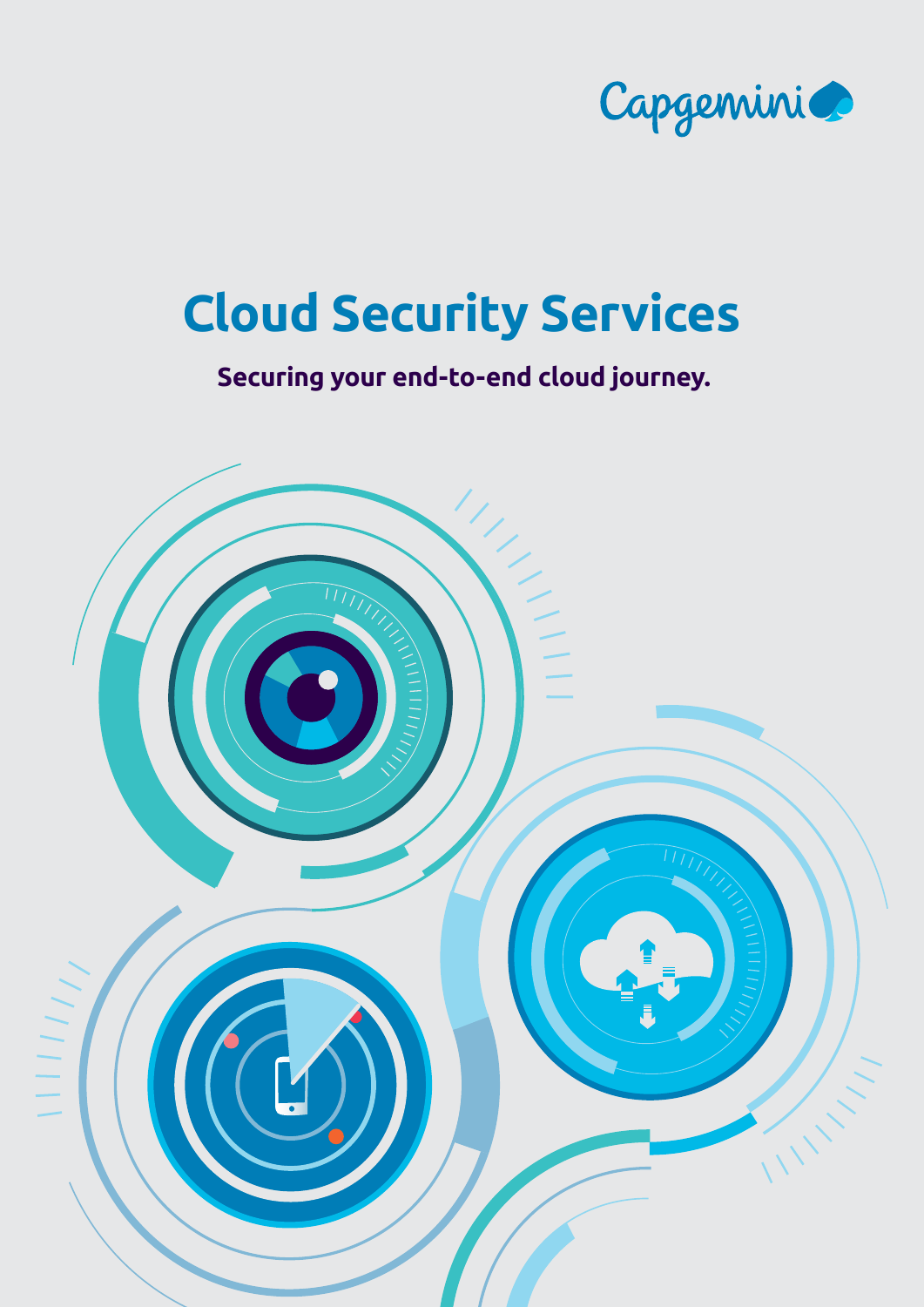

# **Securing your end-to-end cloud journey.**

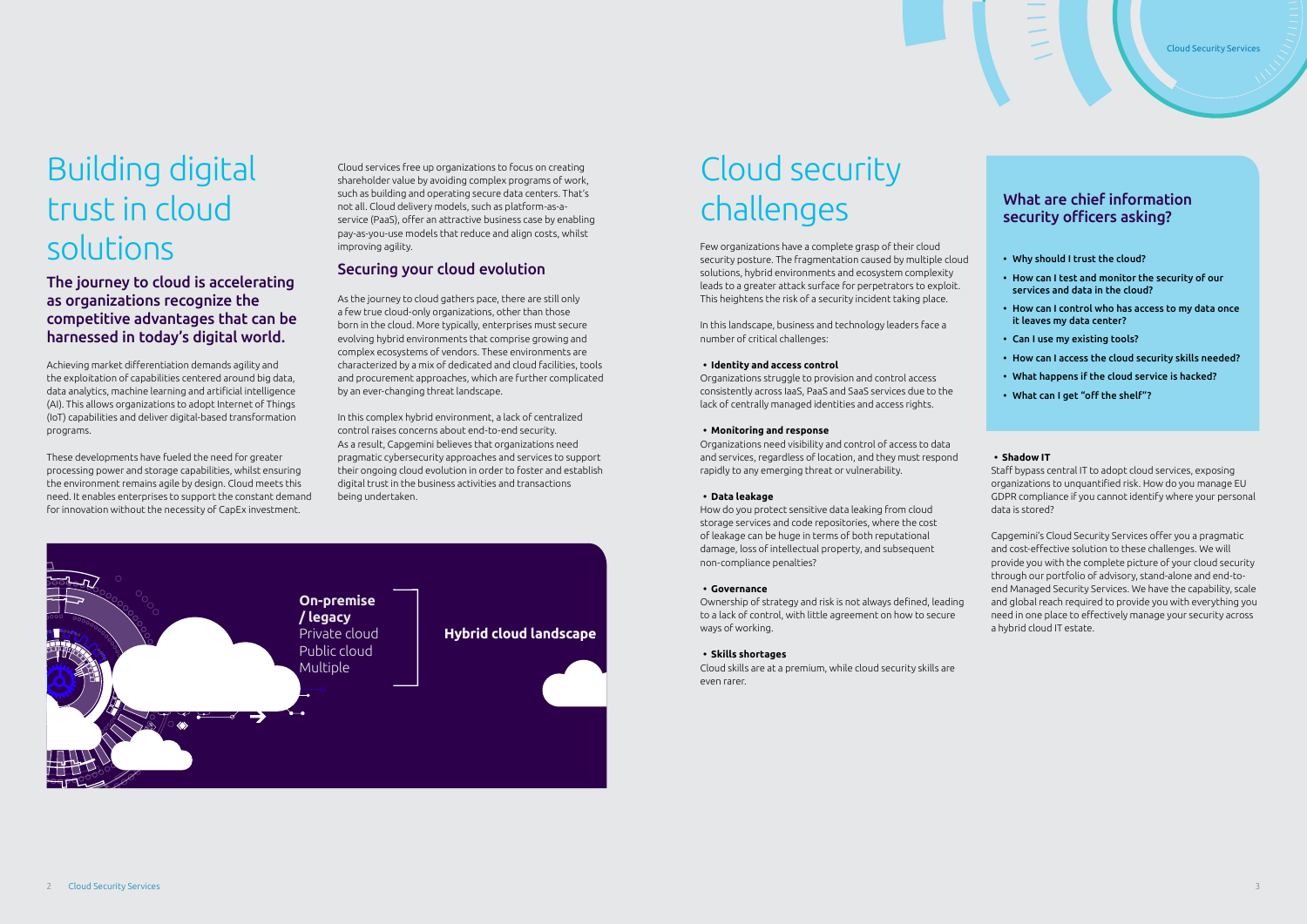# Cloud security challenges

Few organizations have a complete grasp of their cloud security posture. The fragmentation caused by multiple cloud solutions, hybrid environments and ecosystem complexity leads to a greater attack surface for perpetrators to exploit. This heightens the risk of a security incident taking place.

In this landscape, business and technology leaders face a number of critical challenges:

#### **• Identity and access control**

Organizations struggle to provision and control access consistently across IaaS, PaaS and SaaS services due to the lack of centrally managed identities and access rights.

#### **• Monitoring and response**

Organizations need visibility and control of access to data and services, regardless of location, and they must respond rapidly to any emerging threat or vulnerability.

#### **• Data leakage**

How do you protect sensitive data leaking from cloud storage services and code repositories, where the cost of leakage can be huge in terms of both reputational damage, loss of intellectual property, and subsequent non-compliance penalties?

#### **• Governance**

Ownership of strategy and risk is not always defined, leading to a lack of control, with little agreement on how to secure ways of working.

#### **• Skills shortages**

Cloud skills are at a premium, while cloud security skills are even rarer.

#### **• Shadow IT**

Staff bypass central IT to adopt cloud services, exposing organizations to unquantified risk. How do you manage EU GDPR compliance if you cannot identify where your personal data is stored?

Capgemini's Cloud Security Services offer you a pragmatic and cost-effective solution to these challenges. We will provide you with the complete picture of your cloud security through our portfolio of advisory, stand-alone and end-toend Managed Security Services. We have the capability, scale and global reach required to provide you with everything you need in one place to effectively manage your security across a hybrid cloud IT estate.



# Building digital trust in cloud solutions

The journey to cloud is accelerating as organizations recognize the competitive advantages that can be harnessed in today's digital world.

Achieving market differentiation demands agility and the exploitation of capabilities centered around big data, data analytics, machine learning and artificial intelligence (AI). This allows organizations to adopt Internet of Things (IoT) capabilities and deliver digital-based transformation programs.

These developments have fueled the need for greater processing power and storage capabilities, whilst ensuring the environment remains agile by design. Cloud meets this need. It enables enterprises to support the constant demand for innovation without the necessity of CapEx investment.

Cloud services free up organizations to focus on creating shareholder value by avoiding complex programs of work, such as building and operating secure data centers. That's not all. Cloud delivery models, such as platform-as-aservice (PaaS), offer an attractive business case by enabling pay-as-you-use models that reduce and align costs, whilst improving agility.

### Securing your cloud evolution

As the journey to cloud gathers pace, there are still only a few true cloud-only organizations, other than those born in the cloud. More typically, enterprises must secure evolving hybrid environments that comprise growing and complex ecosystems of vendors. These environments are characterized by a mix of dedicated and cloud facilities, tools and procurement approaches, which are further complicated by an ever-changing threat landscape.

In this complex hybrid environment, a lack of centralized control raises concerns about end-to-end security. As a result, Capgemini believes that organizations need pragmatic cybersecurity approaches and services to support their ongoing cloud evolution in order to foster and establish digital trust in the business activities and transactions being undertaken.

### What are chief information security officers asking?

- Why should I trust the cloud?
- How can I test and monitor the security of our services and data in the cloud?
- How can I control who has access to my data once it leaves my data center?
- Can I use my existing tools?
- How can I access the cloud security skills needed?
- What happens if the cloud service is hacked?
- What can I get "off the shelf"?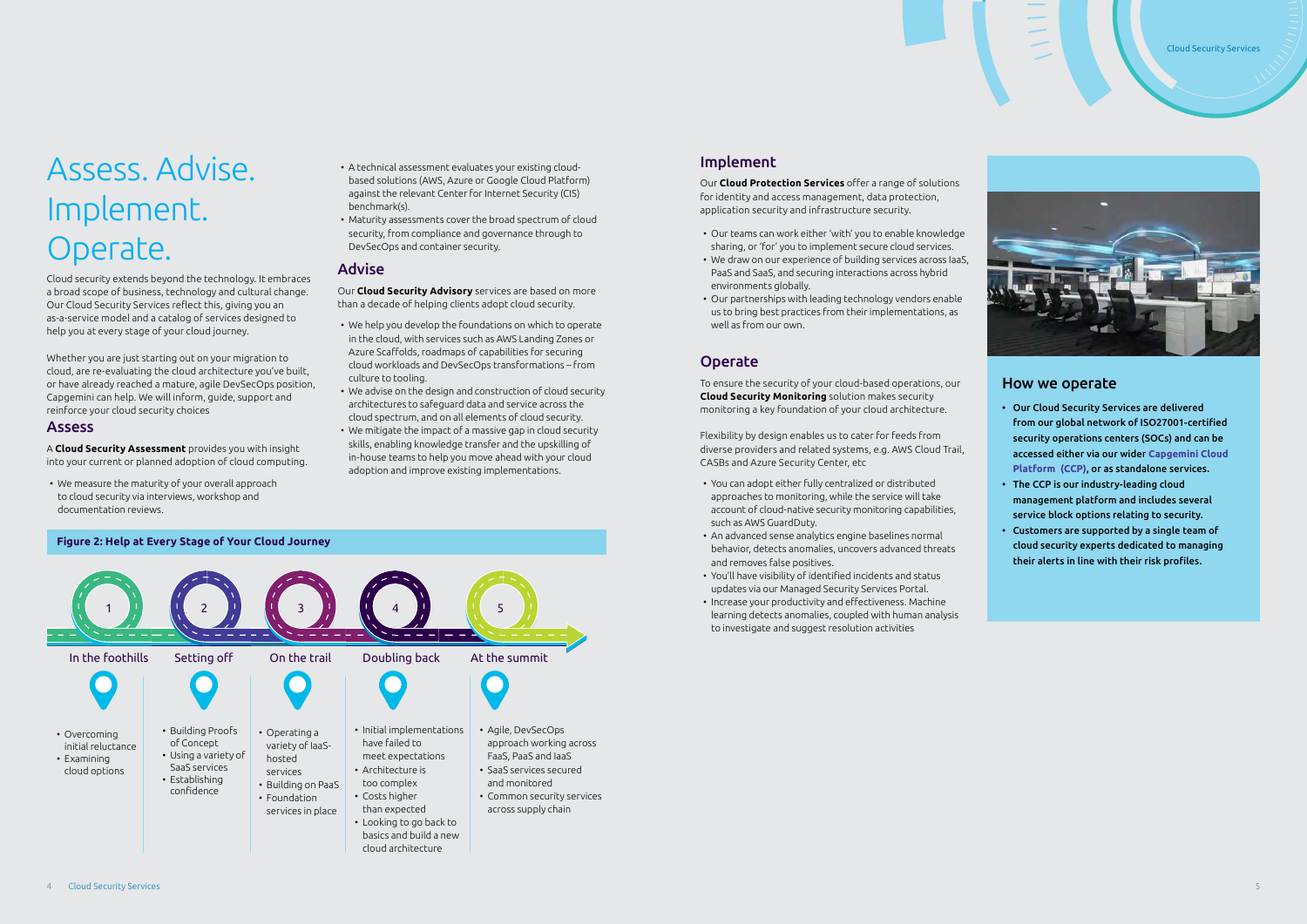

## Implement

Our **Cloud Protection Services** offer a range of solutions for identity and access management, data protection, application security and infrastructure security.

- Our teams can work either 'with' you to enable knowledge sharing, or 'for' you to implement secure cloud services.
- We draw on our experience of building services across IaaS, PaaS and SaaS, and securing interactions across hybrid environments globally.
- Our partnerships with leading technology vendors enable us to bring best practices from their implementations, as well as from our own.

## Operate

To ensure the security of your cloud-based operations, our **Cloud Security Monitoring** solution makes security monitoring a key foundation of your cloud architecture.

Flexibility by design enables us to cater for feeds from diverse providers and related systems, e.g. AWS Cloud Trail, CASBs and Azure Security Center, etc

- You can adopt either fully centralized or distributed approaches to monitoring, while the service will take account of cloud-native security monitoring capabilities, such as AWS GuardDuty.
- An advanced sense analytics engine baselines normal behavior, detects anomalies, uncovers advanced threats and removes false positives.
- You'll have visibility of identified incidents and status updates via our Managed Security Services Portal.
- Increase your productivity and effectiveness. Machine learning detects anomalies, coupled with human analysis to investigate and suggest resolution activities

#### How we operate

- Our Cloud Security Services are delivered from our global network of ISO27001-certified security operations centers (SOCs) and can be accessed either via our wider **[Capgemini Cloud](https://www.capgemini.com/service/cloud-services/capgemini-cloud-platform/#)  [Platform \(CCP\)](https://www.capgemini.com/service/cloud-services/capgemini-cloud-platform/#)**, or as standalone services.
- The CCP is our industry-leading cloud management platform and includes several service block options relating to security.
- Customers are supported by a single team of cloud security experts dedicated to managing their alerts in line with their risk profiles.



# Assess. Advise. Implement. Operate.

Cloud security extends beyond the technology. It embraces a broad scope of business, technology and cultural change. Our Cloud Security Services reflect this, giving you an as-a-service model and a catalog of services designed to help you at every stage of your cloud journey.

Whether you are just starting out on your migration to cloud, are re-evaluating the cloud architecture you've built, or have already reached a mature, agile DevSecOps position, Capgemini can help. We will inform, guide, support and reinforce your cloud security choices

#### Assess

A **Cloud Security Assessment** provides you with insight into your current or planned adoption of cloud computing.

• We measure the maturity of your overall approach to cloud security via interviews, workshop and documentation reviews.

- A technical assessment evaluates your existing cloudbased solutions (AWS, Azure or Google Cloud Platform) against the relevant Center for Internet Security (CIS) benchmark(s).
- Maturity assessments cover the broad spectrum of cloud security, from compliance and governance through to DevSecOps and container security.

#### Advise

Our **Cloud Security Advisory** services are based on more than a decade of helping clients adopt cloud security.

- We help you develop the foundations on which to operate in the cloud, with services such as AWS Landing Zones or Azure Scaffolds, roadmaps of capabilities for securing cloud workloads and DevSecOps transformations – from culture to tooling.
- We advise on the design and construction of cloud security architectures to safeguard data and service across the cloud spectrum, and on all elements of cloud security.
- We mitigate the impact of a massive gap in cloud security skills, enabling knowledge transfer and the upskilling of in-house teams to help you move ahead with your cloud adoption and improve existing implementations.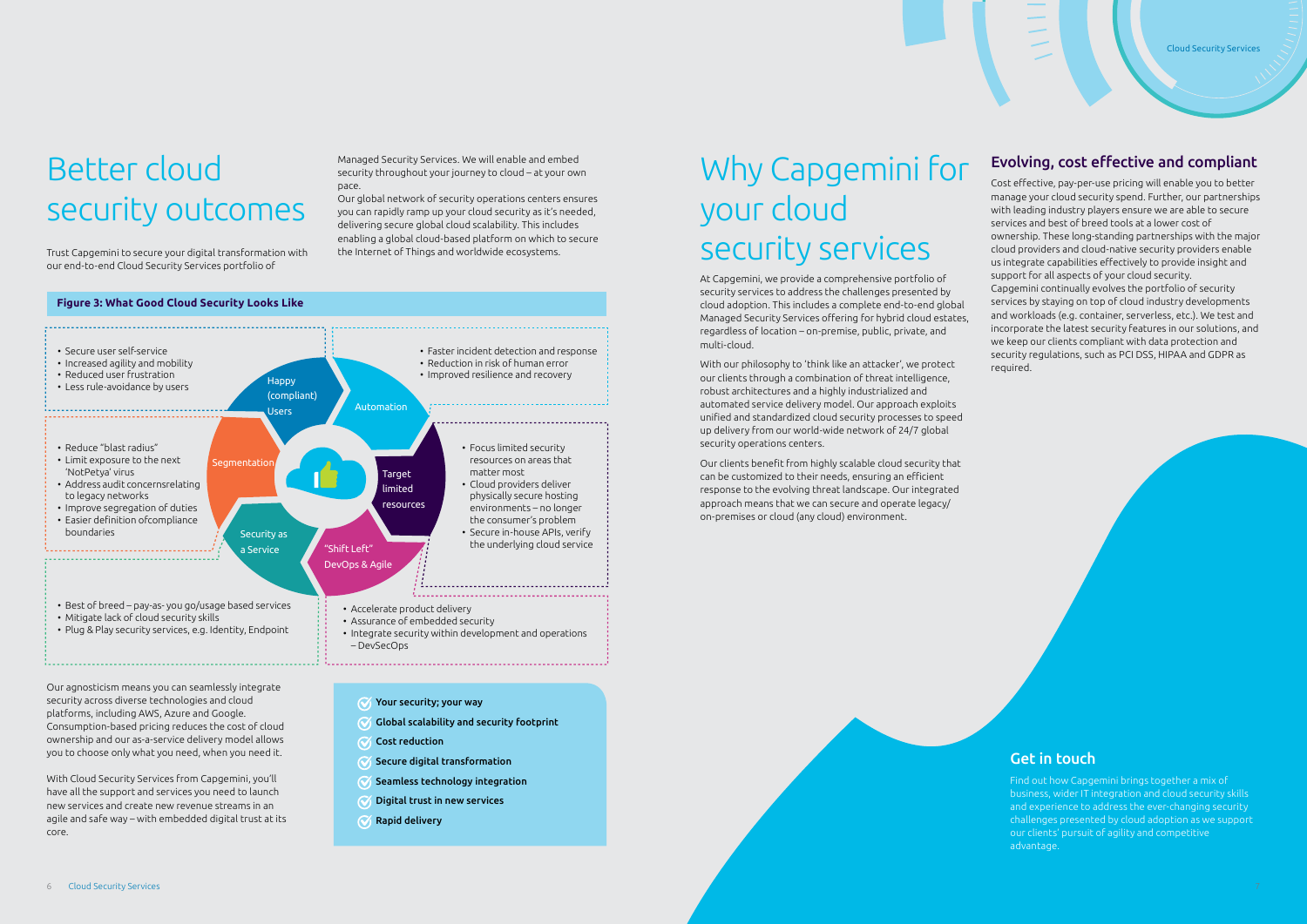

### Get in touch

# Why Capgemini for your cloud security services

Find out how Capgemini brings together a mix of business, wider IT integration and cloud security skills and experience to address the ever-changing security challenges presented by cloud adoption as we support our clients' pursuit of agility and competitive advantage.

# Better cloud security outcomes

Trust Capgemini to secure your digital transformation with our end-to-end Cloud Security Services portfolio of

Managed Security Services. We will enable and embed security throughout your journey to cloud – at your own pace.

Our global network of security operations centers ensures you can rapidly ramp up your cloud security as it's needed, delivering secure global cloud scalability. This includes enabling a global cloud-based platform on which to secure the Internet of Things and worldwide ecosystems.

Our agnosticism means you can seamlessly integrate security across diverse technologies and cloud platforms, including AWS, Azure and Google. Consumption-based pricing reduces the cost of cloud ownership and our as-a-service delivery model allows you to choose only what you need, when you need it.

With Cloud Security Services from Capgemini, you'll have all the support and services you need to launch new services and create new revenue streams in an agile and safe way – with embedded digital trust at its core.

- $\gamma$  Your security; your way
- $\mathcal G$  Global scalability and security footprint
- Cost reduction
- $\mathcal G$  Secure digital transformation
- $\mathcal G$  Seamless technology integration
- $\mathcal G$  Digital trust in new services
- $\mathcal{R}$  Rapid delivery

At Capgemini, we provide a comprehensive portfolio of security services to address the challenges presented by cloud adoption. This includes a complete end-to-end global Managed Security Services offering for hybrid cloud estates, regardless of location – on-premise, public, private, and multi-cloud.

With our philosophy to 'think like an attacker', we protect our clients through a combination of threat intelligence, robust architectures and a highly industrialized and automated service delivery model. Our approach exploits unified and standardized cloud security processes to speed up delivery from our world-wide network of 24/7 global security operations centers.

Our clients benefit from highly scalable cloud security that can be customized to their needs, ensuring an efficient response to the evolving threat landscape. Our integrated approach means that we can secure and operate legacy/ on-premises or cloud (any cloud) environment.

### Evolving, cost effective and compliant

Cost effective, pay-per-use pricing will enable you to better manage your cloud security spend. Further, our partnerships with leading industry players ensure we are able to secure services and best of breed tools at a lower cost of ownership. These long-standing partnerships with the major cloud providers and cloud-native security providers enable us integrate capabilities effectively to provide insight and support for all aspects of your cloud security.

Capgemini continually evolves the portfolio of security services by staying on top of cloud industry developments and workloads (e.g. container, serverless, etc.). We test and incorporate the latest security features in our solutions, and we keep our clients compliant with data protection and security regulations, such as PCI DSS, HIPAA and GDPR as required.